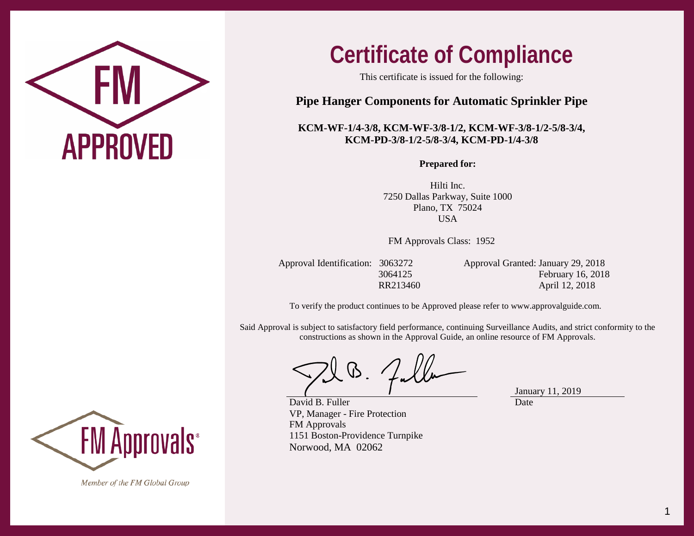

## **Certificate of Compliance**

This certificate is issued for the following:

## **Pipe Hanger Components for Automatic Sprinkler Pipe**

## **KCM-WF-1/4-3/8, KCM-WF-3/8-1/2, KCM-WF-3/8-1/2-5/8-3/4, KCM-PD-3/8-1/2-5/8-3/4, KCM-PD-1/4-3/8**

**Prepared for:**

Hilti Inc. 7250 Dallas Parkway, Suite 1000 Plano, TX 75024 **USA** 

FM Approvals Class: 1952

Approval Identification: 3063272 Approval Granted: January 29, 2018 3064125 February 16, 2018 RR213460 April 12, 2018

To verify the product continues to be Approved please refer to [www.approvalguide.com.](http://www.approvalguide.com/)

Said Approval is subject to satisfactory field performance, continuing Surveillance Audits, and strict conformity to the constructions as shown in the Approval Guide, an online resource of FM Approvals.

David B. Fuller VP, Manager - Fire Protection FM Approvals 1151 Boston-Providence Turnpike Norwood, MA 02062

January 11, 2019 Date



Member of the FM Global Group